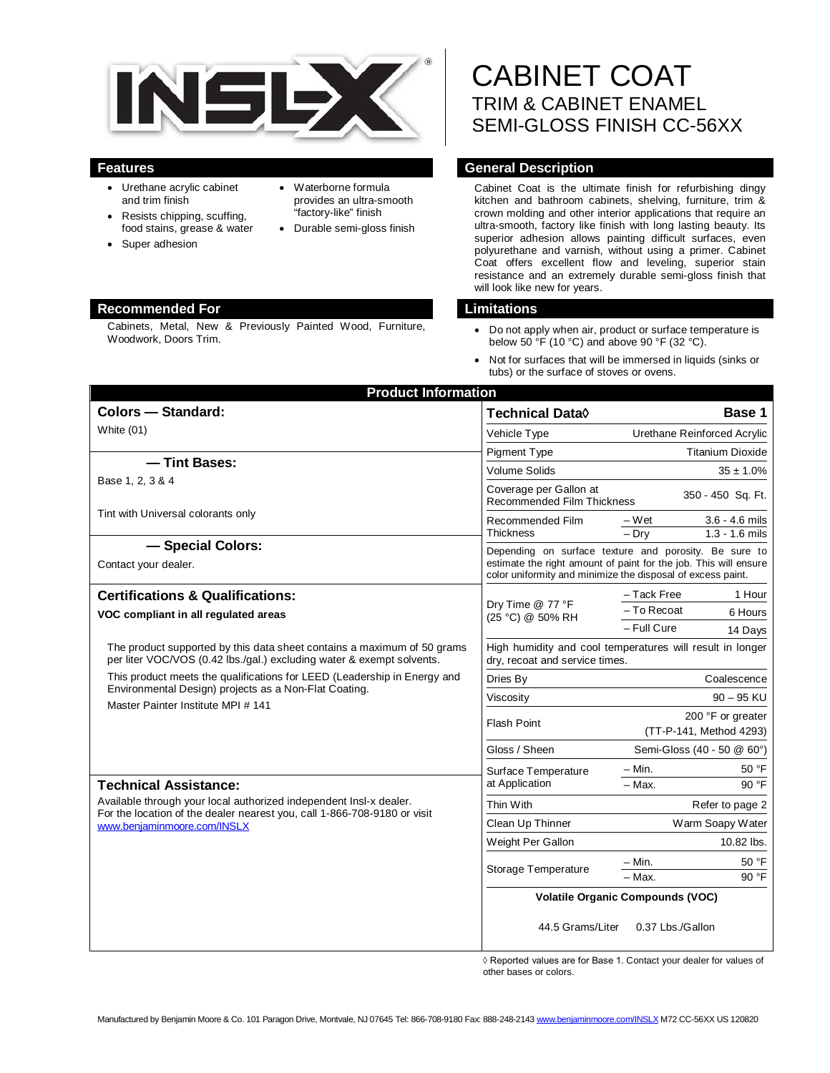

- Urethane acrylic cabinet and trim finish
- Resists chipping, scuffing, food stains, grease & water
- Super adhesion
- Waterborne formula provides an ultra-smooth "factory-like" finish
- Durable semi-gloss finish

# **Recommended For Limitations**

Cabinets, Metal, New & Previously Painted Wood, Furniture, Woodwork, Doors Trim.

# CABINET COAT TRIM & CABINET ENAMEL SEMI-GLOSS FINISH CC-56XX

# **Features General Description**

Cabinet Coat is the ultimate finish for refurbishing dingy kitchen and bathroom cabinets, shelving, furniture, trim & crown molding and other interior applications that require an ultra-smooth, factory like finish with long lasting beauty. Its superior adhesion allows painting difficult surfaces, even polyurethane and varnish, without using a primer. Cabinet Coat offers excellent flow and leveling, superior stain resistance and an extremely durable semi-gloss finish that will look like new for years.

- Do not apply when air, product or surface temperature is below 50  $\mathrm{°F}$  (10 °C) and above 90 °F (32 °C).
- Not for surfaces that will be immersed in liquids (sinks or tubs) or the surface of stoves or ovens.

| <b>Product Information</b>                                                                                                                                                                                    |                                                                                                                                                                                          |                                                          |
|---------------------------------------------------------------------------------------------------------------------------------------------------------------------------------------------------------------|------------------------------------------------------------------------------------------------------------------------------------------------------------------------------------------|----------------------------------------------------------|
| <b>Colors - Standard:</b>                                                                                                                                                                                     | Technical Data $\Diamond$                                                                                                                                                                | Base 1                                                   |
| White (01)                                                                                                                                                                                                    | Vehicle Type                                                                                                                                                                             | Urethane Reinforced Acrylic                              |
|                                                                                                                                                                                                               | Pigment Type                                                                                                                                                                             | <b>Titanium Dioxide</b>                                  |
| - Tint Bases:                                                                                                                                                                                                 | <b>Volume Solids</b>                                                                                                                                                                     | $35 \pm 1.0\%$                                           |
| Base 1, 2, 3 & 4                                                                                                                                                                                              | Coverage per Gallon at<br>350 - 450 Sq. Ft.<br><b>Recommended Film Thickness</b>                                                                                                         |                                                          |
| Tint with Universal colorants only                                                                                                                                                                            | Recommended Film<br><b>Thickness</b>                                                                                                                                                     | $3.6 - 4.6$ mils<br>– Wet<br>$1.3 - 1.6$ mils<br>$-$ Dry |
| - Special Colors:<br>Contact your dealer.                                                                                                                                                                     | Depending on surface texture and porosity. Be sure to<br>estimate the right amount of paint for the job. This will ensure<br>color uniformity and minimize the disposal of excess paint. |                                                          |
| <b>Certifications &amp; Qualifications:</b>                                                                                                                                                                   | Dry Time @ 77 °F<br>(25 °C) @ 50% RH                                                                                                                                                     | - Tack Free<br>1 Hour                                    |
| VOC compliant in all regulated areas                                                                                                                                                                          |                                                                                                                                                                                          | - To Recoat<br>6 Hours                                   |
|                                                                                                                                                                                                               |                                                                                                                                                                                          | - Full Cure<br>14 Days                                   |
| The product supported by this data sheet contains a maximum of 50 grams<br>per liter VOC/VOS (0.42 lbs./gal.) excluding water & exempt solvents.                                                              | High humidity and cool temperatures will result in longer<br>dry, recoat and service times.                                                                                              |                                                          |
| This product meets the qualifications for LEED (Leadership in Energy and<br>Environmental Design) projects as a Non-Flat Coating.<br>Master Painter Institute MPI # 141                                       | Dries By                                                                                                                                                                                 | Coalescence                                              |
|                                                                                                                                                                                                               | Viscosity                                                                                                                                                                                | $90 - 95$ KU                                             |
|                                                                                                                                                                                                               | <b>Flash Point</b>                                                                                                                                                                       | 200 °F or greater<br>(TT-P-141, Method 4293)             |
|                                                                                                                                                                                                               | Gloss / Sheen                                                                                                                                                                            | Semi-Gloss (40 - 50 @ 60°)                               |
| <b>Technical Assistance:</b><br>Available through your local authorized independent Insl-x dealer.<br>For the location of the dealer nearest you, call 1-866-708-9180 or visit<br>www.benjaminmoore.com/INSLX | Surface Temperature<br>at Application                                                                                                                                                    | 50 °F<br>– Min.                                          |
|                                                                                                                                                                                                               |                                                                                                                                                                                          | $-$ Max.<br>90 °F                                        |
|                                                                                                                                                                                                               | Thin With                                                                                                                                                                                | Refer to page 2                                          |
|                                                                                                                                                                                                               | Clean Up Thinner                                                                                                                                                                         | Warm Soapy Water                                         |
|                                                                                                                                                                                                               | Weight Per Gallon                                                                                                                                                                        | 10.82 lbs.                                               |
|                                                                                                                                                                                                               | Storage Temperature                                                                                                                                                                      | $-$ Min.<br>50 °F                                        |
|                                                                                                                                                                                                               |                                                                                                                                                                                          | 90 °F<br>- Max.                                          |
|                                                                                                                                                                                                               | <b>Volatile Organic Compounds (VOC)</b>                                                                                                                                                  |                                                          |
|                                                                                                                                                                                                               | 44.5 Grams/Liter                                                                                                                                                                         | 0.37 Lbs./Gallon                                         |

◊ Reported values are for Base 1. Contact your dealer for values of other bases or colors.